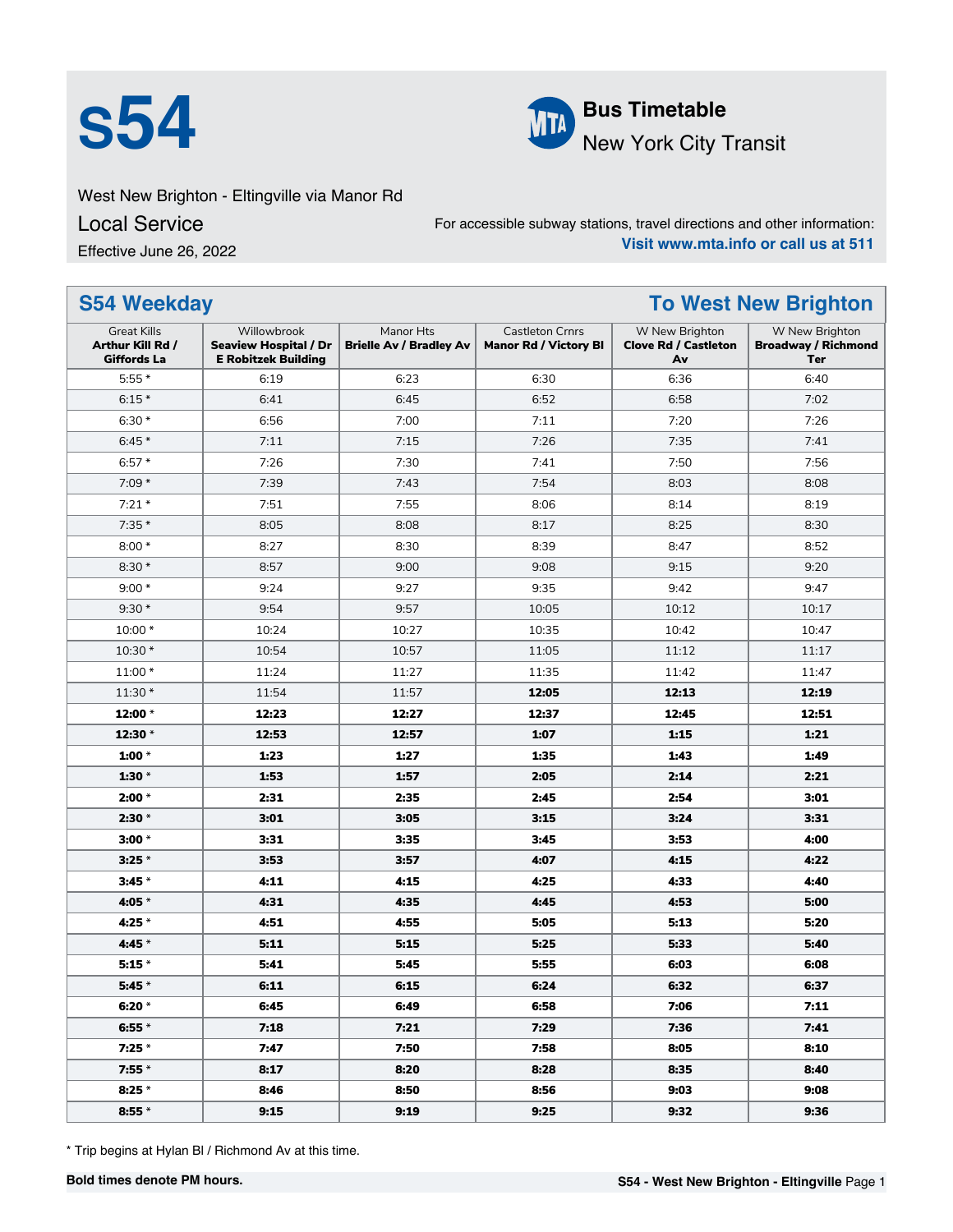



West New Brighton - Eltingville via Manor Rd

Local Service

Effective June 26, 2022

For accessible subway stations, travel directions and other information: **Visit www.mta.info or call us at 511**

| <b>S54 Weekday</b>                                           |                                                                           |                                             |                                                        |                                                     | <b>To West New Brighton</b>                         |
|--------------------------------------------------------------|---------------------------------------------------------------------------|---------------------------------------------|--------------------------------------------------------|-----------------------------------------------------|-----------------------------------------------------|
| <b>Great Kills</b><br>Arthur Kill Rd /<br><b>Giffords La</b> | Willowbrook<br><b>Seaview Hospital / Dr</b><br><b>E Robitzek Building</b> | Manor Hts<br><b>Brielle Av / Bradley Av</b> | <b>Castleton Crnrs</b><br><b>Manor Rd / Victory BI</b> | W New Brighton<br><b>Clove Rd / Castleton</b><br>Av | W New Brighton<br><b>Broadway / Richmond</b><br>Ter |
| $5:55*$                                                      | 6:19                                                                      | 6:23                                        | 6:30                                                   | 6:36                                                | 6:40                                                |
| $6:15*$                                                      | 6:41                                                                      | 6:45                                        | 6:52                                                   | 6:58                                                | 7:02                                                |
| $6:30*$                                                      | 6:56                                                                      | 7:00                                        | 7:11                                                   | 7:20                                                | 7:26                                                |
| $6:45*$                                                      | 7:11                                                                      | 7:15                                        | 7:26                                                   | 7:35                                                | 7:41                                                |
| $6:57*$                                                      | 7:26                                                                      | 7:30                                        | 7:41                                                   | 7:50                                                | 7:56                                                |
| $7:09*$                                                      | 7:39                                                                      | 7:43                                        | 7:54                                                   | 8:03                                                | 8:08                                                |
| $7:21*$                                                      | 7:51                                                                      | 7:55                                        | 8:06                                                   | 8:14                                                | 8:19                                                |
| $7:35*$                                                      | 8:05                                                                      | 8:08                                        | 8:17                                                   | 8:25                                                | 8:30                                                |
| $8:00*$                                                      | 8:27                                                                      | 8:30                                        | 8:39                                                   | 8:47                                                | 8:52                                                |
| $8:30*$                                                      | 8:57                                                                      | 9:00                                        | 9:08                                                   | 9:15                                                | 9:20                                                |
| $9:00*$                                                      | 9:24                                                                      | 9:27                                        | 9:35                                                   | 9:42                                                | 9:47                                                |
| $9:30*$                                                      | 9:54                                                                      | 9:57                                        | 10:05                                                  | 10:12                                               | 10:17                                               |
| 10:00 *                                                      | 10:24                                                                     | 10:27                                       | 10:35                                                  | 10:42                                               | 10:47                                               |
| 10:30 *                                                      | 10:54                                                                     | 10:57                                       | 11:05                                                  | 11:12                                               | 11:17                                               |
| 11:00 *                                                      | 11:24                                                                     | 11:27                                       | 11:35                                                  | 11:42                                               | 11:47                                               |
| 11:30 *                                                      | 11:54                                                                     | 11:57                                       | 12:05                                                  | 12:13                                               | 12:19                                               |
| 12:00 *                                                      | 12:23                                                                     | 12:27                                       | 12:37                                                  | 12:45                                               | 12:51                                               |
| 12:30 *                                                      | 12:53                                                                     | 12:57                                       | 1:07                                                   | 1:15                                                | 1:21                                                |
| 1:00 $*$                                                     | 1:23                                                                      | 1:27                                        | 1:35                                                   | 1:43                                                | 1:49                                                |
| 1:30 $*$                                                     | 1:53                                                                      | 1:57                                        | 2:05                                                   | 2:14                                                | 2:21                                                |
| $2:00 *$                                                     | 2:31                                                                      | 2:35                                        | 2:45                                                   | 2:54                                                | 3:01                                                |
| $2:30 *$                                                     | 3:01                                                                      | 3:05                                        | 3:15                                                   | 3:24                                                | 3:31                                                |
| $3:00*$                                                      | 3:31                                                                      | 3:35                                        | 3:45                                                   | 3:53                                                | 4:00                                                |
| $3:25*$                                                      | 3:53                                                                      | 3:57                                        | 4:07                                                   | 4:15                                                | 4:22                                                |
| $3:45*$                                                      | 4:11                                                                      | 4:15                                        | 4:25                                                   | 4:33                                                | 4:40                                                |
| 4:05 *                                                       | 4:31                                                                      | 4:35                                        | 4:45                                                   | 4:53                                                | 5:00                                                |
| 4:25 *                                                       | 4:51                                                                      | 4:55                                        | 5:05                                                   | 5:13                                                | 5:20                                                |
| 4:45 *                                                       | 5:11                                                                      | 5:15                                        | 5:25                                                   | 5:33                                                | 5:40                                                |
| $5:15*$                                                      | 5:41                                                                      | 5:45                                        | 5:55                                                   | 6:03                                                | 6:08                                                |
| $5:45*$                                                      | 6:11                                                                      | 6:15                                        | 6:24                                                   | 6:32                                                | 6:37                                                |
| 6:20 *                                                       | 6:45                                                                      | 6:49                                        | 6:58                                                   | 7:06                                                | 7:11                                                |
| 6:55 $*$                                                     | 7:18                                                                      | 7:21                                        | 7:29                                                   | 7:36                                                | 7:41                                                |
| $7:25 *$                                                     | 7:47                                                                      | 7:50                                        | 7:58                                                   | 8:05                                                | 8:10                                                |
| $7:55*$                                                      | 8:17                                                                      | 8:20                                        | 8:28                                                   | 8:35                                                | 8:40                                                |
| $8:25*$                                                      | 8:46                                                                      | 8:50                                        | 8:56                                                   | 9:03                                                | 9:08                                                |
| 8:55 $*$                                                     | 9:15                                                                      | 9:19                                        | 9:25                                                   | 9:32                                                | 9:36                                                |

\* Trip begins at Hylan Bl / Richmond Av at this time.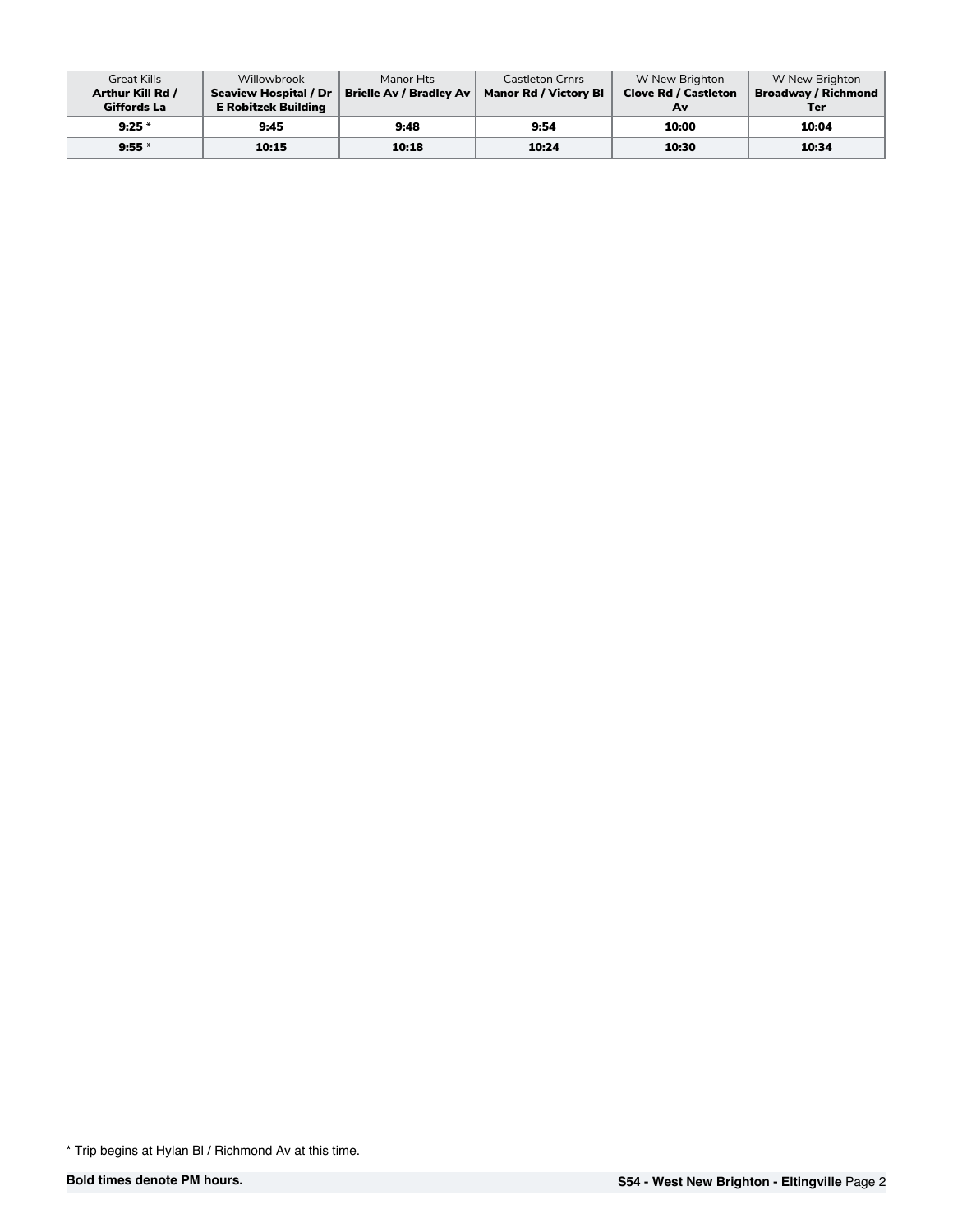| <b>Great Kills</b> | Willowbrook                | Manor Hts                                       | <b>Castleton Crnrs</b>       | W New Brighton              | W New Brighton             |
|--------------------|----------------------------|-------------------------------------------------|------------------------------|-----------------------------|----------------------------|
| Arthur Kill Rd /   |                            | Seaview Hospital / Dr   Brielle Av / Bradley Av | <b>Manor Rd / Victory Bl</b> | <b>Clove Rd / Castleton</b> | <b>Broadway / Richmond</b> |
| Giffords La        | <b>E</b> Robitzek Building |                                                 |                              | Av                          | Ter                        |
| $9:25*$            | 9:45                       | 9:48                                            | 9:54                         | 10:00                       | 10:04                      |
| $9:55*$            | 10:15                      | 10:18                                           | 10:24                        | 10:30                       | 10:34                      |

<sup>\*</sup> Trip begins at Hylan Bl / Richmond Av at this time.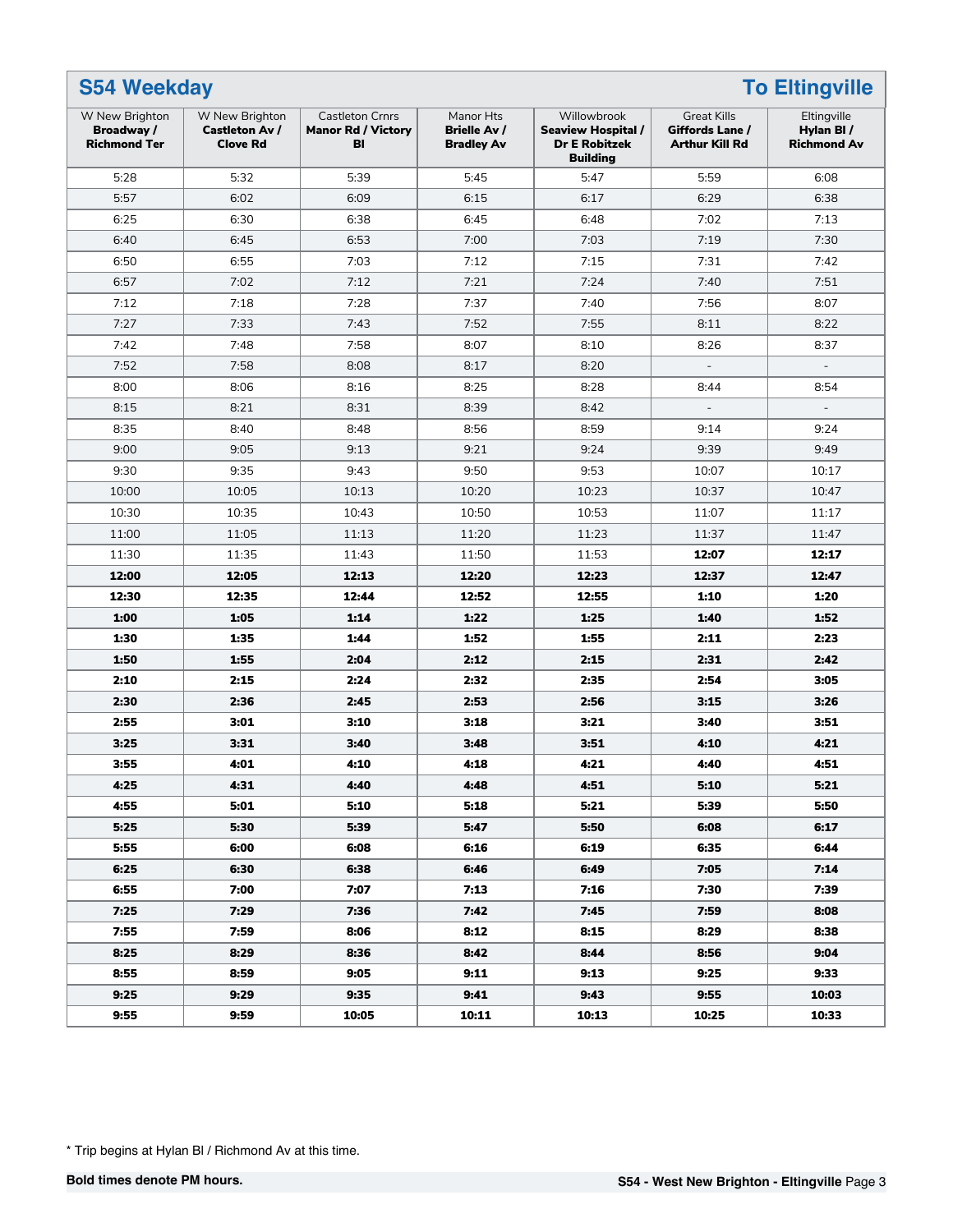| <b>S54 Weekday</b>                                         |                                                            |                                                           |                                                       |                                                                                     |                                                                | <b>To Eltingville</b>                          |
|------------------------------------------------------------|------------------------------------------------------------|-----------------------------------------------------------|-------------------------------------------------------|-------------------------------------------------------------------------------------|----------------------------------------------------------------|------------------------------------------------|
| W New Brighton<br><b>Broadway</b> /<br><b>Richmond Ter</b> | W New Brighton<br><b>Castleton Av /</b><br><b>Clove Rd</b> | <b>Castleton Crnrs</b><br><b>Manor Rd / Victory</b><br>BI | Manor Hts<br><b>Brielle Av /</b><br><b>Bradley Av</b> | Willowbrook<br><b>Seaview Hospital /</b><br><b>Dr E Robitzek</b><br><b>Building</b> | <b>Great Kills</b><br>Giffords Lane /<br><b>Arthur Kill Rd</b> | Eltingville<br>Hylan BI/<br><b>Richmond Av</b> |
| 5:28                                                       | 5:32                                                       | 5:39                                                      | 5:45                                                  | 5:47                                                                                | 5:59                                                           | 6:08                                           |
| 5:57                                                       | 6:02                                                       | 6:09                                                      | 6:15                                                  | 6:17                                                                                | 6:29                                                           | 6:38                                           |
| 6:25                                                       | 6:30                                                       | 6:38                                                      | 6:45                                                  | 6:48                                                                                | 7:02                                                           | 7:13                                           |
| 6:40                                                       | 6:45                                                       | 6:53                                                      | 7:00                                                  | 7:03                                                                                | 7:19                                                           | 7:30                                           |
| 6:50                                                       | 6:55                                                       | 7:03                                                      | 7:12                                                  | 7:15                                                                                | 7:31                                                           | 7:42                                           |
| 6:57                                                       | 7:02                                                       | 7:12                                                      | 7:21                                                  | 7:24                                                                                | 7:40                                                           | 7:51                                           |
| 7:12                                                       | 7:18                                                       | 7:28                                                      | 7:37                                                  | 7:40                                                                                | 7:56                                                           | 8:07                                           |
| 7:27                                                       | 7:33                                                       | 7:43                                                      | 7:52                                                  | 7:55                                                                                | 8:11                                                           | 8:22                                           |
| 7:42                                                       | 7:48                                                       | 7:58                                                      | 8:07                                                  | 8:10                                                                                | 8:26                                                           | 8:37                                           |
| 7:52                                                       | 7:58                                                       | 8:08                                                      | 8:17                                                  | 8:20                                                                                | $\overline{\phantom{a}}$                                       | $\overline{\phantom{a}}$                       |
| 8:00                                                       | 8:06                                                       | 8:16                                                      | 8:25                                                  | 8:28                                                                                | 8:44                                                           | 8:54                                           |
| 8:15                                                       | 8:21                                                       | 8:31                                                      | 8:39                                                  | 8:42                                                                                |                                                                |                                                |
| 8:35                                                       | 8:40                                                       | 8:48                                                      | 8:56                                                  | 8:59                                                                                | 9:14                                                           | 9:24                                           |
| 9:00                                                       | 9:05                                                       | 9:13                                                      | 9:21                                                  | 9:24                                                                                | 9:39                                                           | 9:49                                           |
| 9:30                                                       | 9:35                                                       | 9:43                                                      | 9:50                                                  | 9:53                                                                                | 10:07                                                          | 10:17                                          |
| 10:00                                                      | 10:05                                                      | 10:13                                                     | 10:20                                                 | 10:23                                                                               | 10:37                                                          | 10:47                                          |
| 10:30                                                      | 10:35                                                      | 10:43                                                     | 10:50                                                 | 10:53                                                                               | 11:07                                                          | 11:17                                          |
| 11:00                                                      | 11:05                                                      | 11:13                                                     | 11:20                                                 | 11:23                                                                               | 11:37                                                          | 11:47                                          |
| 11:30                                                      | 11:35                                                      | 11:43                                                     | 11:50                                                 | 11:53                                                                               | 12:07                                                          | 12:17                                          |
| 12:00                                                      | 12:05                                                      | 12:13                                                     | 12:20                                                 | 12:23                                                                               | 12:37                                                          | 12:47                                          |
| 12:30                                                      | 12:35                                                      | 12:44                                                     | 12:52                                                 | 12:55                                                                               | 1:10                                                           | 1:20                                           |
| 1:00                                                       | 1:05                                                       | 1:14                                                      | 1:22                                                  | 1:25                                                                                | 1:40                                                           | 1:52                                           |
| 1:30                                                       | 1:35                                                       | 1:44                                                      | 1:52                                                  | 1:55                                                                                | 2:11                                                           | 2:23                                           |
| 1:50                                                       | 1:55                                                       | 2:04                                                      | 2:12                                                  | 2:15                                                                                | 2:31                                                           | 2:42                                           |
| 2:10                                                       | 2:15                                                       | 2:24                                                      | 2:32                                                  | 2:35                                                                                | 2:54                                                           | 3:05                                           |
| 2:30                                                       | 2:36                                                       | 2:45                                                      | 2:53                                                  | 2:56                                                                                | 3:15                                                           | 3:26                                           |
| 2:55                                                       | 3:01                                                       | 3:10                                                      | 3:18                                                  | 3:21                                                                                | 3:40                                                           | 3:51                                           |
| 3:25                                                       | 3:31                                                       | 3:40                                                      | 3:48                                                  | 3:51                                                                                | 4:10                                                           | 4:21                                           |
| 3:55                                                       | 4:01                                                       | 4:10                                                      | 4:18                                                  | 4:21                                                                                | 4:40                                                           | 4:51                                           |
| 4:25                                                       | 4:31                                                       | 4:40                                                      | 4:48                                                  | 4:51                                                                                | 5:10                                                           | 5:21                                           |
| 4:55                                                       | 5:01                                                       | 5:10                                                      | 5:18                                                  | 5:21                                                                                | 5:39                                                           | 5:50                                           |
| 5:25                                                       | 5:30                                                       | 5:39                                                      | 5:47                                                  | 5:50                                                                                | 6:08                                                           | 6:17                                           |
| 5:55                                                       | 6:00                                                       | 6:08                                                      | 6:16                                                  | 6:19                                                                                | 6:35                                                           | 6:44                                           |
| 6:25                                                       | 6:30                                                       | 6:38                                                      | 6:46                                                  | 6:49                                                                                | 7:05                                                           | 7:14                                           |
| 6:55                                                       | 7:00                                                       | 7:07                                                      | 7:13                                                  | 7:16                                                                                | 7:30                                                           | 7:39                                           |
| 7:25                                                       | 7:29                                                       | 7:36                                                      | 7:42                                                  | 7:45                                                                                | 7:59                                                           | 8:08                                           |
| 7:55                                                       | 7:59                                                       | 8:06                                                      | 8:12                                                  | 8:15                                                                                | 8:29                                                           | 8:38                                           |
| 8:25                                                       | 8:29                                                       | 8:36                                                      | 8:42                                                  | 8:44                                                                                | 8:56                                                           | 9:04                                           |
| 8:55                                                       | 8:59                                                       | 9:05                                                      | 9:11                                                  | 9:13                                                                                | 9:25                                                           | 9:33                                           |
| 9:25                                                       | 9:29                                                       | 9:35                                                      | 9:41                                                  | 9:43                                                                                | 9:55                                                           | 10:03                                          |
| 9:55                                                       | 9:59                                                       | 10:05                                                     | 10:11                                                 | 10:13                                                                               | 10:25                                                          | 10:33                                          |

\* Trip begins at Hylan Bl / Richmond Av at this time.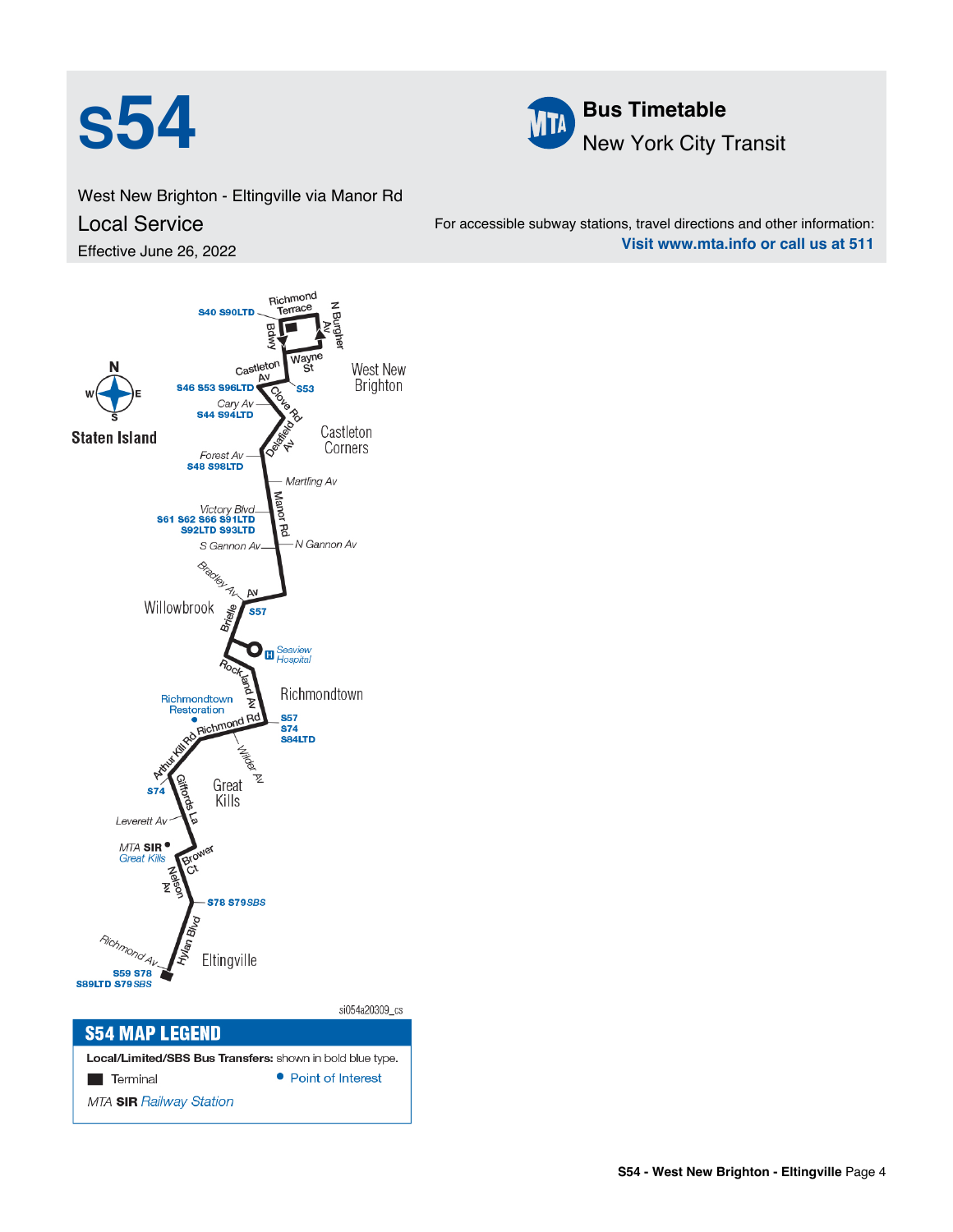



West New Brighton - Eltingville via Manor Rd Local Service Effective June 26, 2022

For accessible subway stations, travel directions and other information: **Visit www.mta.info or call us at 511**



Local/Limited/SBS Bus Transfers: shown in bold blue type. • Point of Interest **Terminal MTA SIR Railway Station**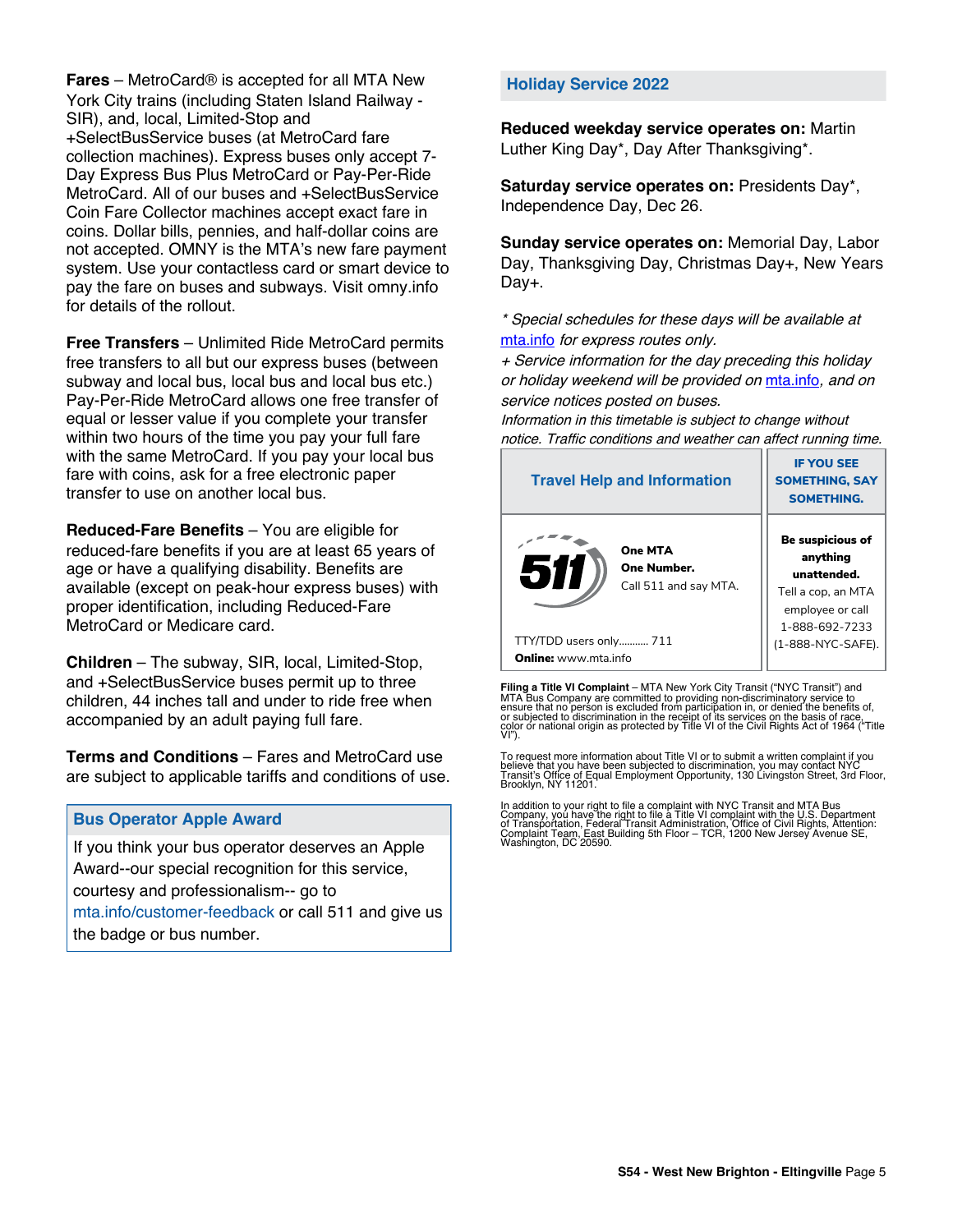**Fares** – MetroCard® is accepted for all MTA New York City trains (including Staten Island Railway - SIR), and, local, Limited-Stop and +SelectBusService buses (at MetroCard fare collection machines). Express buses only accept 7- Day Express Bus Plus MetroCard or Pay-Per-Ride MetroCard. All of our buses and +SelectBusService Coin Fare Collector machines accept exact fare in coins. Dollar bills, pennies, and half-dollar coins are not accepted. OMNY is the MTA's new fare payment system. Use your contactless card or smart device to pay the fare on buses and subways. Visit omny.info for details of the rollout.

**Free Transfers** – Unlimited Ride MetroCard permits free transfers to all but our express buses (between subway and local bus, local bus and local bus etc.) Pay-Per-Ride MetroCard allows one free transfer of equal or lesser value if you complete your transfer within two hours of the time you pay your full fare with the same MetroCard. If you pay your local bus fare with coins, ask for a free electronic paper transfer to use on another local bus.

**Reduced-Fare Benefits** – You are eligible for reduced-fare benefits if you are at least 65 years of age or have a qualifying disability. Benefits are available (except on peak-hour express buses) with proper identification, including Reduced-Fare MetroCard or Medicare card.

**Children** – The subway, SIR, local, Limited-Stop, and +SelectBusService buses permit up to three children, 44 inches tall and under to ride free when accompanied by an adult paying full fare.

**Terms and Conditions** – Fares and MetroCard use are subject to applicable tariffs and conditions of use.

## **Bus Operator Apple Award**

If you think your bus operator deserves an Apple Award--our special recognition for this service, courtesy and professionalism-- go to mta.info/customer-feedback or call 511 and give us the badge or bus number.

## **Holiday Service 2022**

**Reduced weekday service operates on:** Martin Luther King Day\*, Day After Thanksgiving\*.

**Saturday service operates on:** Presidents Day\*, Independence Day, Dec 26.

**Sunday service operates on:** Memorial Day, Labor Day, Thanksgiving Day, Christmas Day+, New Years Day+.

\* Special schedules for these days will be available at [mta.info](https://new.mta.info/) for express routes only.

+ Service information for the day preceding this holiday or holiday weekend will be provided on [mta.info](https://new.mta.info/), and on service notices posted on buses.

Information in this timetable is subject to change without notice. Traffic conditions and weather can affect running time.

| <b>Travel Help and Information</b>                     | <b>IF YOU SEE</b><br><b>SOMETHING, SAY</b><br><b>SOMETHING.</b>                                                |  |  |
|--------------------------------------------------------|----------------------------------------------------------------------------------------------------------------|--|--|
| One MTA<br>511<br>One Number.<br>Call 511 and say MTA. | <b>Be suspicious of</b><br>anything<br>unattended.<br>Tell a cop, an MTA<br>employee or call<br>1-888-692-7233 |  |  |
| TTY/TDD users only 711                                 | (1-888-NYC-SAFE).                                                                                              |  |  |
| <b>Online:</b> www.mta.info                            |                                                                                                                |  |  |

**Filing a Title VI Complaint** – MTA New York City Transit ("NYC Transit") and<br>MTA Bus Company are committed to providing non-discriminatory service to<br>ensure that no person is excluded from participation in, or denied the

To request more information about Title VI or to submit a written complaint if you believe that you have been subjected to discrimination, you may contact NYC<br>Transit's Office of Equal Employment Opportunity, 130 Livingston Street, 3rd Floor,<br>Brooklyn, NY 11201.

In addition to your right to file a complaint with NYC Transit and MTA Bus<br>Company, you have the right to file a Title VI complaint with the U.S. Department<br>of Transportation, Federal Transit Administration, Office of Civi